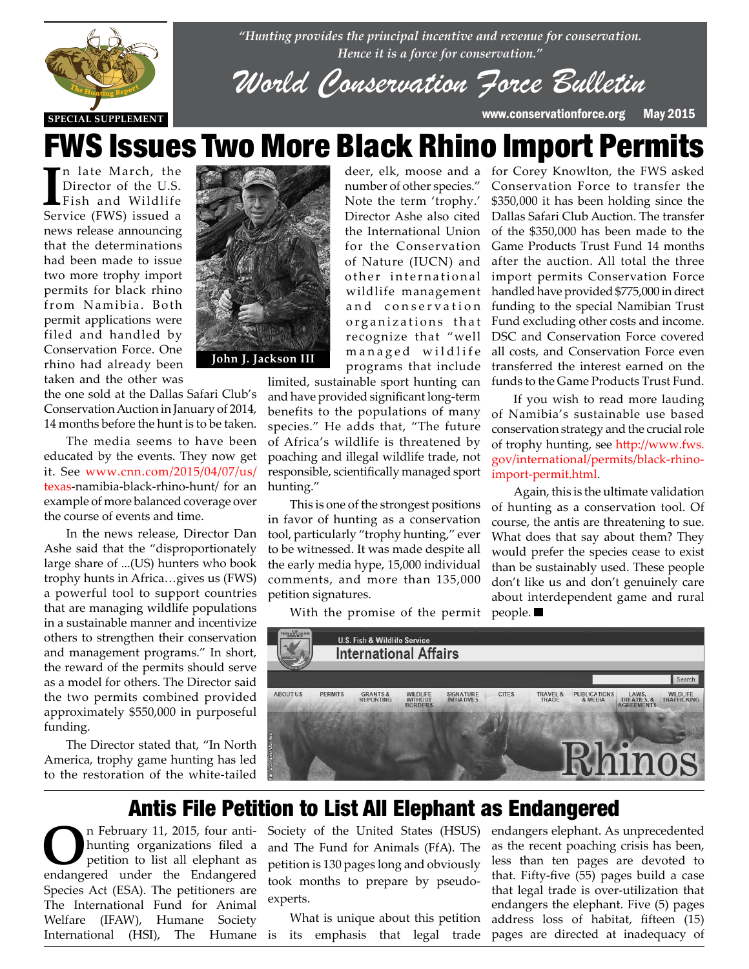

*"Hunting provides the principal incentive and revenue for conservation. Hence it is a force for conservation."*

*World Conservation Force Bulletin*

**SPECIAL SUPPLEMENT** www.conservationforce.org May 2015

# FWS Issues Two More Black Rhino Import Permits

In late March, the Director of the U.S.<br>Fish and Wildlife Service (FWS) issued a n late March, the Director of the U.S. Fish and Wildlife news release announcing that the determinations had been made to issue two more trophy import permits for black rhino from Namibia. Both permit applications were filed and handled by Conservation Force. One rhino had already been taken and the other was

the one sold at the Dallas Safari Club's Conservation Auction in January of 2014, Lonservation Auction in January of 2014,<br>14 months before the hunt is to be taken.

The media seems to have been educated by the events. They now get it. See www.cnn.com/2015/04/07/us/ it. See www.cnn.com/2015/04/07/us/<br>**texas-**namibia-black-rhino-hunt/ for an example of more balanced coverage over the course of events and time.

> In the news release, Director Dan Ashe said that the "disproportionately large share of ...(US) hunters who book trophy hunts in Africa…gives us (FWS) a powerful tool to support countries that are managing wildlife populations in a sustainable manner and incentivize others to strengthen their conservation and management programs." In short, the reward of the permits should serve as a model for others. The Director said the two permits combined provided approximately \$550,000 in purposeful funding.

The Director stated that, "In North America, trophy game hunting has led to the restoration of the white-tailed



number of other species." Note the term 'trophy.' Director Ashe also cited the International Union for the Conservation of Nature (IUCN) and other international wildlife management and conservation organizations that recognize that "well managed wildlife programs that include

limited, sustainable sport hunting can and have provided significant long-term benefits to the populations of many species." He adds that, "The future of Africa's wildlife is threatened by poaching and illegal wildlife trade, not responsible, scientifically managed sport hunting."

This is one of the strongest positions in favor of hunting as a conservation tool, particularly "trophy hunting," ever to be witnessed. It was made despite all the early media hype, 15,000 individual comments, and more than 135,000 petition signatures.

With the promise of the permit people.

deer, elk, moose and a for Corey Knowlton, the FWS asked Conservation Force to transfer the \$350,000 it has been holding since the Dallas Safari Club Auction. The transfer of the \$350,000 has been made to the Game Products Trust Fund 14 months after the auction. All total the three import permits Conservation Force handled have provided \$775,000 in direct funding to the special Namibian Trust Fund excluding other costs and income. DSC and Conservation Force covered all costs, and Conservation Force even transferred the interest earned on the funds to the Game Products Trust Fund.

> If you wish to read more lauding of Namibia's sustainable use based conservation strategy and the crucial role of trophy hunting, see http://www.fws. gov/international/permits/black-rhinoimport-permit.html.

> Again, this is the ultimate validation of hunting as a conservation tool. Of course, the antis are threatening to sue. What does that say about them? They would prefer the species cease to exist than be sustainably used. These people don't like us and don't genuinely care about interdependent game and rural



## Antis File Petition to List All Elephant as Endangered

**O**n February 11, 2015, four anti-<br>
hunting organizations filed a<br>
petition to list all elephant as hunting organizations filed a endangered under the Endangered Species Act (ESA). The petitioners are The International Fund for Animal Welfare (IFAW), Humane Society International (HSI), The Humane is its emphasis that legal trade

Society of the United States (HSUS) and The Fund for Animals (FfA). The petition is 130 pages long and obviously took months to prepare by pseudoexperts.

What is unique about this petition

endangers elephant. As unprecedented as the recent poaching crisis has been, less than ten pages are devoted to that. Fifty-five (55) pages build a case that legal trade is over-utilization that endangers the elephant. Five (5) pages address loss of habitat, fifteen (15) pages are directed at inadequacy of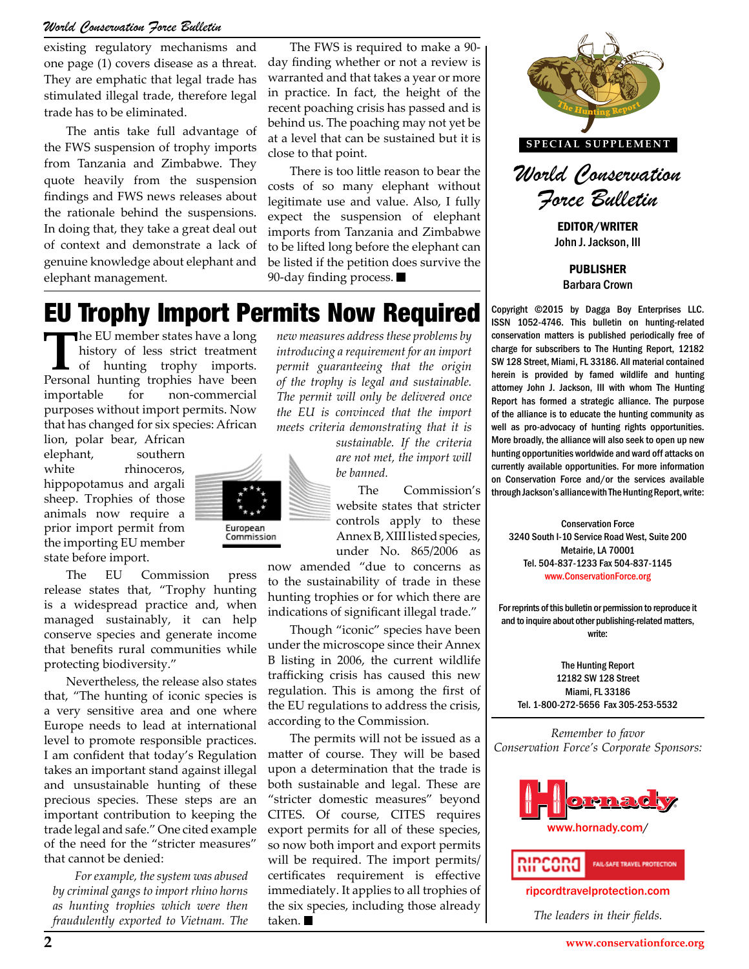#### *World Conservation Force Bulletin*

existing regulatory mechanisms and one page (1) covers disease as a threat. They are emphatic that legal trade has stimulated illegal trade, therefore legal trade has to be eliminated.

The antis take full advantage of the FWS suspension of trophy imports from Tanzania and Zimbabwe. They quote heavily from the suspension findings and FWS news releases about the rationale behind the suspensions. In doing that, they take a great deal out of context and demonstrate a lack of genuine knowledge about elephant and elephant management.

The FWS is required to make a 90 day finding whether or not a review is warranted and that takes a year or more in practice. In fact, the height of the recent poaching crisis has passed and is behind us. The poaching may not yet be at a level that can be sustained but it is close to that point.

There is too little reason to bear the costs of so many elephant without legitimate use and value. Also, I fully expect the suspension of elephant imports from Tanzania and Zimbabwe to be lifted long before the elephant can be listed if the petition does survive the 90-day finding process.

# EU Trophy Import Permits Now Required

The EU member states have a long<br>history of less strict treatment<br>of hunting trophy imports.<br>Personal hunting trophies have been history of less strict treatment Personal hunting trophies have been importable for non-commercial purposes without import permits. Now that has changed for six species: African

lion, polar bear, African elephant, southern white rhinoceros, hippopotamus and argali sheep. Trophies of those animals now require a prior import permit from the importing EU member state before import.

The EU Commission press release states that, "Trophy hunting is a widespread practice and, when managed sustainably, it can help conserve species and generate income that benefits rural communities while protecting biodiversity."

Nevertheless, the release also states that, "The hunting of iconic species is a very sensitive area and one where Europe needs to lead at international level to promote responsible practices. I am confident that today's Regulation takes an important stand against illegal and unsustainable hunting of these precious species. These steps are an important contribution to keeping the trade legal and safe." One cited example of the need for the "stricter measures" that cannot be denied:

*For example, the system was abused by criminal gangs to import rhino horns as hunting trophies which were then fraudulently exported to Vietnam. The* 

*new measures address these problems by introducing a requirement for an import permit guaranteeing that the origin of the trophy is legal and sustainable. The permit will only be delivered once the EU is convinced that the import meets criteria demonstrating that it is* 

> *sustainable. If the criteria are not met, the import will be banned.*

THE Commission Bundanial Sanance with the hunting Report, while.<br> **THE COMMISSION CONTROL**<br>
Conservation Force The Commission's website states that stricter Annex B, XIII listed species, under No. 865/2006 as

THE 304-31-1233 Fax 504-31-1145<br>
to the sustainability of trade in these<br>
hunting trophies or for which there are now amended "due to concerns as hunting trophies or for which there are indications of significant illegal trade."

Though "iconic" species have been under the microscope since their Annex B listing in 2006, the current wildlife trafficking crisis has caused this new regulation. This is among the first of the EU regulations to address the crisis, according to the Commission.

The permits will not be issued as a matter of course. They will be based upon a determination that the trade is both sustainable and legal. These are "stricter domestic measures" beyond CITES. Of course, CITES requires export permits for all of these species, so now both import and export permits will be required. The import permits/ certificates requirement is effective immediately. It applies to all trophies of the six species, including those already taken.





EDITOR/WRITER John J. Jackson, III

> PUBLISHER Barbara Crown

Copyright ©2015 by Dagga Boy Enterprises LLC. ISSN 1052-4746. This bulletin on hunting-related conservation matters is published periodically free of charge for subscribers to The Hunting Report, 12182 SW 128 Street, Miami, FL 33186. All material contained herein is provided by famed wildlife and hunting attorney John J. Jackson, III with whom The Hunting Report has formed a strategic alliance. The purpose of the alliance is to educate the hunting community as well as pro-advocacy of hunting rights opportunities. More broadly, the alliance will also seek to open up new hunting opportunities worldwide and ward off attacks on currently available opportunities. For more information on Conservation Force and/or the services available through Jackson's alliance with The Hunting Report, write:

Conservation Force 3240 South I-10 Service Road West, Suite 200 Metairie, LA 70001 Tel. 504-837-1233 Fax 504-837-1145 www.ConservationForce.org

For reprints of this bulletin or permission to reproduce it and to inquire about other publishing-related matters, write:

The Hunting Report 12182 SW 128 Street Miami, FL 33186 Tel. 1-800-272-5656 Fax 305-253-5532

*Remember to favor Conservation Force's Corporate Sponsors:*



ripcordtravelprotection.com

*The leaders in their fields.*

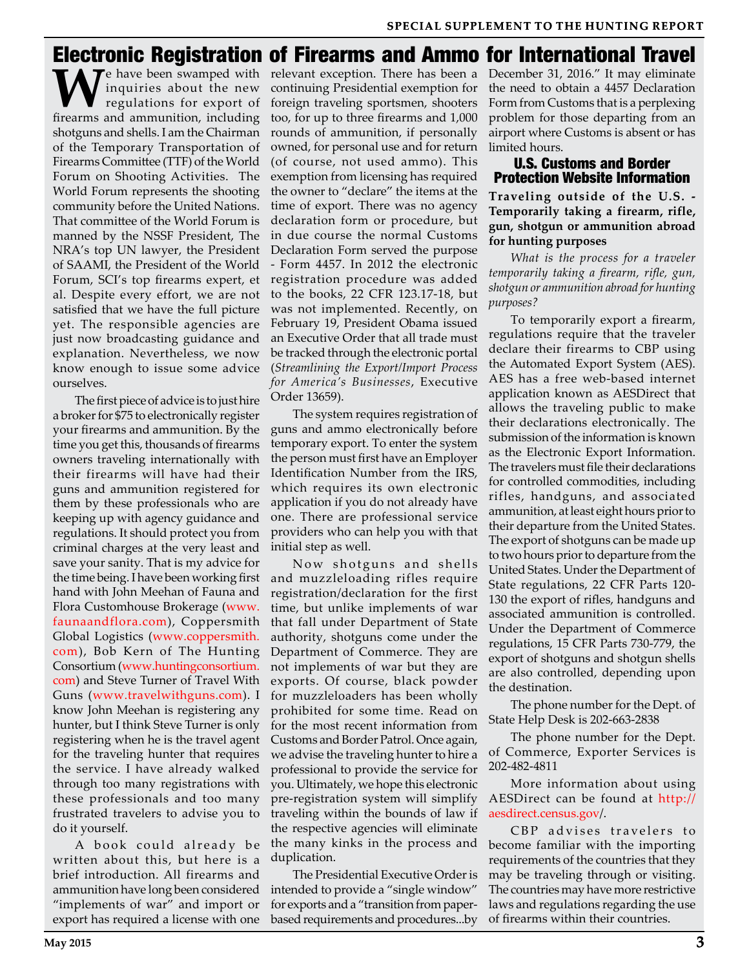## Electronic Registration of Firearms and Ammo for International Travel

We have been swamped with relevant exception. There has been a inquiries about the new continuing Presidential exemption for regulations for export of foreign traveling sportsmen, shooters freezyns and ammunition including inquiries about the new regulations for export of firearms and ammunition, including shotguns and shells. I am the Chairman of the Temporary Transportation of Firearms Committee (TTF) of the World Forum on Shooting Activities. The World Forum represents the shooting community before the United Nations. That committee of the World Forum is manned by the NSSF President, The NRA's top UN lawyer, the President of SAAMI, the President of the World Forum, SCI's top firearms expert, et al. Despite every effort, we are not satisfied that we have the full picture yet. The responsible agencies are just now broadcasting guidance and explanation. Nevertheless, we now know enough to issue some advice ourselves.

The first piece of advice is to just hire a broker for \$75 to electronically register your firearms and ammunition. By the time you get this, thousands of firearms owners traveling internationally with their firearms will have had their guns and ammunition registered for them by these professionals who are keeping up with agency guidance and regulations. It should protect you from criminal charges at the very least and save your sanity. That is my advice for the time being. I have been working first hand with John Meehan of Fauna and Flora Customhouse Brokerage (www. faunaandflora.com), Coppersmith Global Logistics (www.coppersmith. com), Bob Kern of The Hunting Consortium (www.huntingconsortium. com) and Steve Turner of Travel With Guns (www.travelwithguns.com). I know John Meehan is registering any hunter, but I think Steve Turner is only registering when he is the travel agent for the traveling hunter that requires the service. I have already walked through too many registrations with these professionals and too many frustrated travelers to advise you to do it yourself.

A book could already be written about this, but here is a brief introduction. All firearms and ammunition have long been considered "implements of war" and import or export has required a license with one continuing Presidential exemption for foreign traveling sportsmen, shooters too, for up to three firearms and 1,000 rounds of ammunition, if personally owned, for personal use and for return (of course, not used ammo). This exemption from licensing has required the owner to "declare" the items at the time of export. There was no agency declaration form or procedure, but in due course the normal Customs Declaration Form served the purpose - Form 4457. In 2012 the electronic registration procedure was added to the books, 22 CFR 123.17-18, but was not implemented. Recently, on February 19, President Obama issued an Executive Order that all trade must be tracked through the electronic portal (*Streamlining the Export/Import Process for America's Businesses*, Executive Order 13659).

The system requires registration of guns and ammo electronically before temporary export. To enter the system the person must first have an Employer Identification Number from the IRS, which requires its own electronic application if you do not already have one. There are professional service providers who can help you with that initial step as well.

Now shotguns and shells and muzzleloading rifles require registration/declaration for the first time, but unlike implements of war that fall under Department of State authority, shotguns come under the Department of Commerce. They are not implements of war but they are exports. Of course, black powder for muzzleloaders has been wholly prohibited for some time. Read on for the most recent information from Customs and Border Patrol. Once again, we advise the traveling hunter to hire a professional to provide the service for you. Ultimately, we hope this electronic pre-registration system will simplify traveling within the bounds of law if the respective agencies will eliminate the many kinks in the process and duplication.

The Presidential Executive Order is intended to provide a "single window" for exports and a "transition from paperbased requirements and procedures...by December 31, 2016." It may eliminate the need to obtain a 4457 Declaration Form from Customs that is a perplexing problem for those departing from an airport where Customs is absent or has limited hours.

#### U.S. Customs and Border Protection Website Information

**Traveling outside of the U.S. - Temporarily taking a firearm, rifle, gun, shotgun or ammunition abroad for hunting purposes**

*What is the process for a traveler temporarily taking a firearm, rifle, gun, shotgun or ammunition abroad for hunting purposes?*

To temporarily export a firearm, regulations require that the traveler declare their firearms to CBP using the Automated Export System (AES). AES has a free web-based internet application known as AESDirect that allows the traveling public to make their declarations electronically. The submission of the information is known as the Electronic Export Information. The travelers must file their declarations for controlled commodities, including rifles, handguns, and associated ammunition, at least eight hours prior to their departure from the United States. The export of shotguns can be made up to two hours prior to departure from the United States. Under the Department of State regulations, 22 CFR Parts 120- 130 the export of rifles, handguns and associated ammunition is controlled. Under the Department of Commerce regulations, 15 CFR Parts 730-779, the export of shotguns and shotgun shells are also controlled, depending upon the destination.

The phone number for the Dept. of State Help Desk is 202-663-2838

The phone number for the Dept. of Commerce, Exporter Services is 202-482-4811

More information about using AESDirect can be found at http:// aesdirect.census.gov/.

CBP advises travelers to become familiar with the importing requirements of the countries that they may be traveling through or visiting. The countries may have more restrictive laws and regulations regarding the use of firearms within their countries.